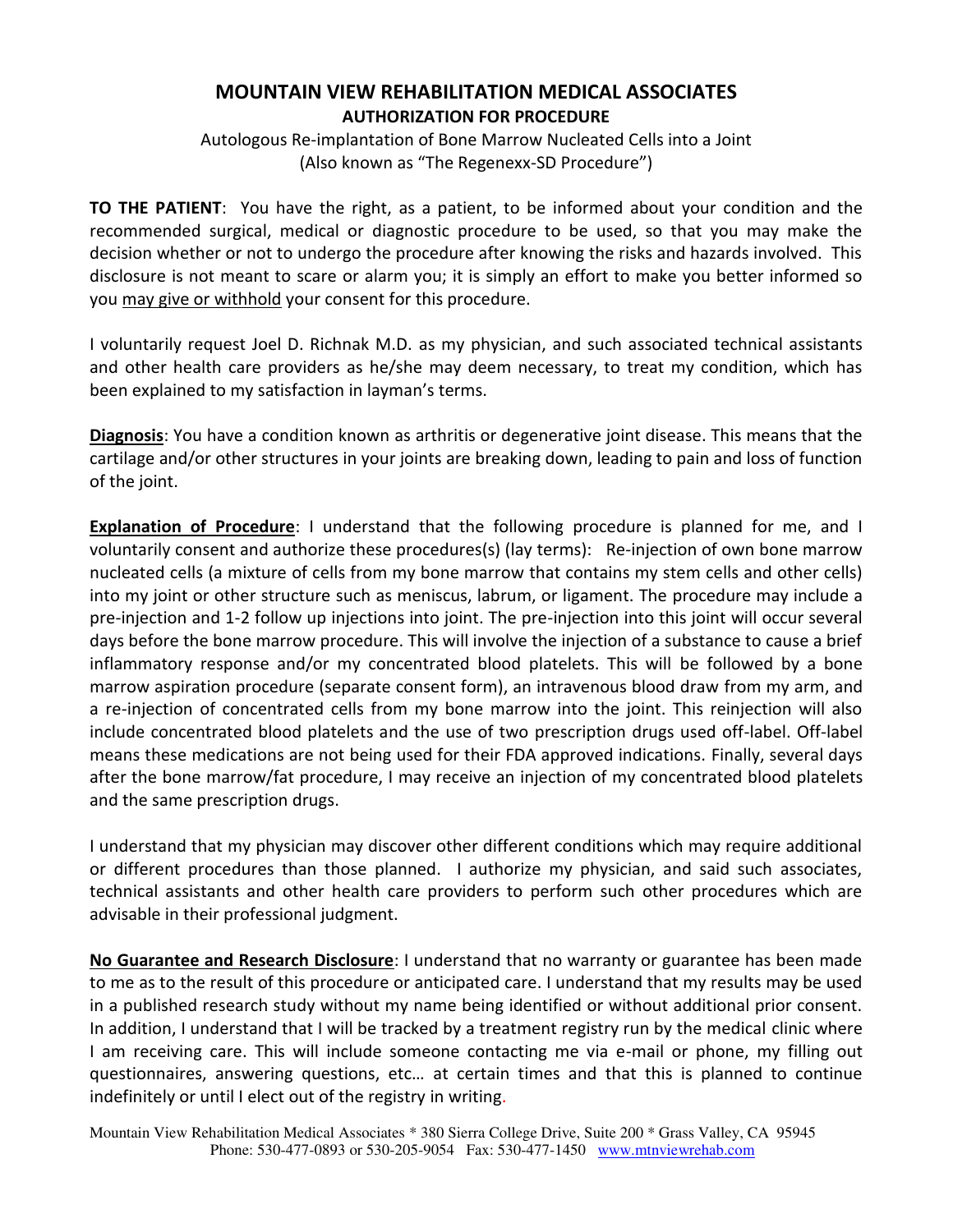## **MOUNTAIN VIEW REHABILITATION MEDICAL ASSOCIATES AUTHORIZATION FOR PROCEDURE**

Autologous Re-implantation of Bone Marrow Nucleated Cells into a Joint (Also known as "The Regenexx-SD Procedure")

**TO THE PATIENT**: You have the right, as a patient, to be informed about your condition and the recommended surgical, medical or diagnostic procedure to be used, so that you may make the decision whether or not to undergo the procedure after knowing the risks and hazards involved. This disclosure is not meant to scare or alarm you; it is simply an effort to make you better informed so you may give or withhold your consent for this procedure.

I voluntarily request Joel D. Richnak M.D. as my physician, and such associated technical assistants and other health care providers as he/she may deem necessary, to treat my condition, which has been explained to my satisfaction in layman's terms.

**Diagnosis**: You have a condition known as arthritis or degenerative joint disease. This means that the cartilage and/or other structures in your joints are breaking down, leading to pain and loss of function of the joint.

**Explanation of Procedure**: I understand that the following procedure is planned for me, and I voluntarily consent and authorize these procedures(s) (lay terms): Re-injection of own bone marrow nucleated cells (a mixture of cells from my bone marrow that contains my stem cells and other cells) into my joint or other structure such as meniscus, labrum, or ligament. The procedure may include a pre-injection and 1-2 follow up injections into joint. The pre-injection into this joint will occur several days before the bone marrow procedure. This will involve the injection of a substance to cause a brief inflammatory response and/or my concentrated blood platelets. This will be followed by a bone marrow aspiration procedure (separate consent form), an intravenous blood draw from my arm, and a re-injection of concentrated cells from my bone marrow into the joint. This reinjection will also include concentrated blood platelets and the use of two prescription drugs used off-label. Off-label means these medications are not being used for their FDA approved indications. Finally, several days after the bone marrow/fat procedure, I may receive an injection of my concentrated blood platelets and the same prescription drugs.

I understand that my physician may discover other different conditions which may require additional or different procedures than those planned. I authorize my physician, and said such associates, technical assistants and other health care providers to perform such other procedures which are advisable in their professional judgment.

**No Guarantee and Research Disclosure**: I understand that no warranty or guarantee has been made to me as to the result of this procedure or anticipated care. I understand that my results may be used in a published research study without my name being identified or without additional prior consent. In addition, I understand that I will be tracked by a treatment registry run by the medical clinic where I am receiving care. This will include someone contacting me via e-mail or phone, my filling out questionnaires, answering questions, etc… at certain times and that this is planned to continue indefinitely or until I elect out of the registry in writing.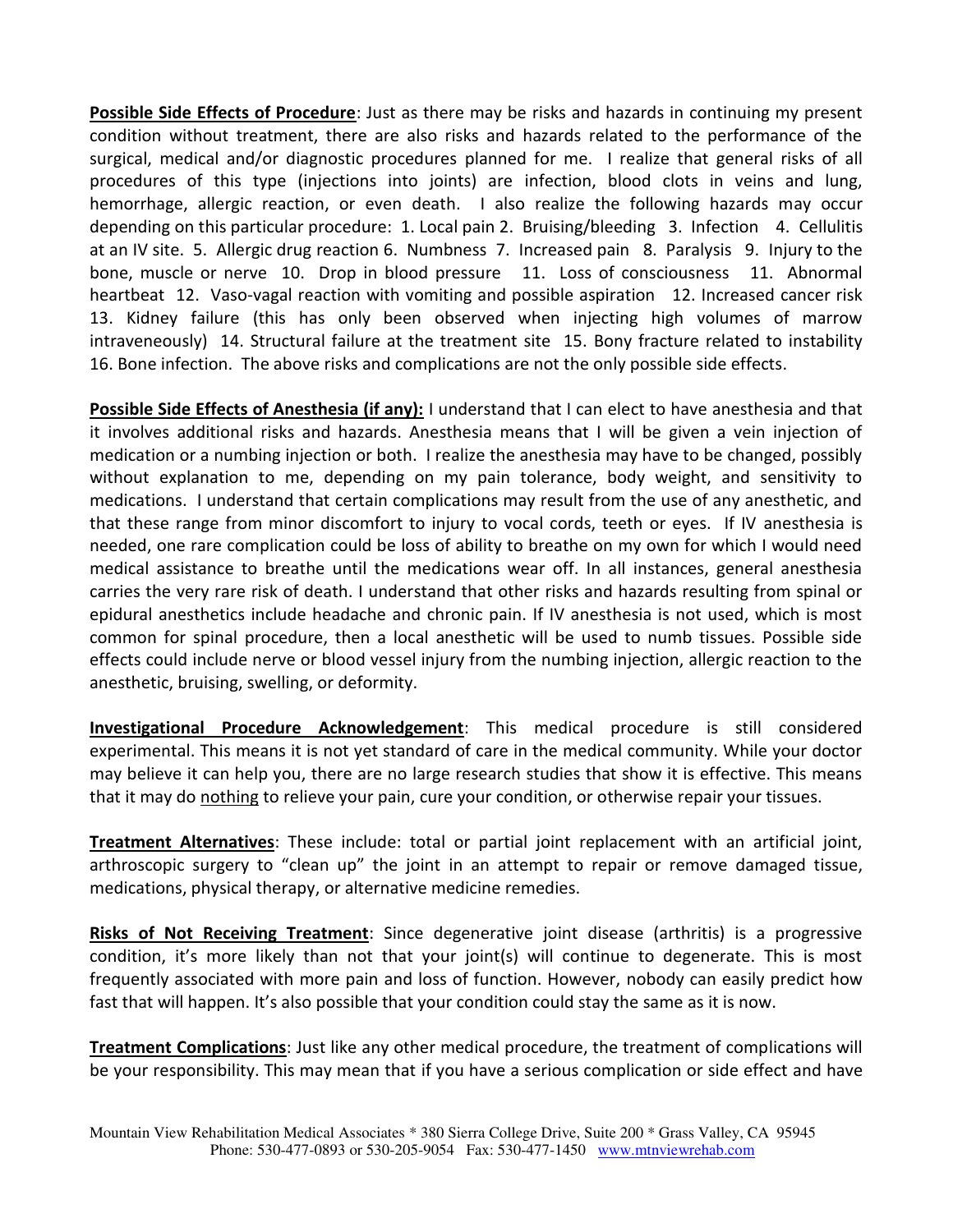**Possible Side Effects of Procedure**: Just as there may be risks and hazards in continuing my present condition without treatment, there are also risks and hazards related to the performance of the surgical, medical and/or diagnostic procedures planned for me. I realize that general risks of all procedures of this type (injections into joints) are infection, blood clots in veins and lung, hemorrhage, allergic reaction, or even death. I also realize the following hazards may occur depending on this particular procedure: 1. Local pain 2. Bruising/bleeding 3. Infection 4. Cellulitis at an IV site. 5. Allergic drug reaction 6. Numbness 7. Increased pain 8. Paralysis 9. Injury to the bone, muscle or nerve 10. Drop in blood pressure 11. Loss of consciousness 11. Abnormal heartbeat 12. Vaso-vagal reaction with vomiting and possible aspiration 12. Increased cancer risk 13. Kidney failure (this has only been observed when injecting high volumes of marrow intraveneously) 14. Structural failure at the treatment site 15. Bony fracture related to instability 16. Bone infection. The above risks and complications are not the only possible side effects.

**Possible Side Effects of Anesthesia (if any):** I understand that I can elect to have anesthesia and that it involves additional risks and hazards. Anesthesia means that I will be given a vein injection of medication or a numbing injection or both. I realize the anesthesia may have to be changed, possibly without explanation to me, depending on my pain tolerance, body weight, and sensitivity to medications. I understand that certain complications may result from the use of any anesthetic, and that these range from minor discomfort to injury to vocal cords, teeth or eyes. If IV anesthesia is needed, one rare complication could be loss of ability to breathe on my own for which I would need medical assistance to breathe until the medications wear off. In all instances, general anesthesia carries the very rare risk of death. I understand that other risks and hazards resulting from spinal or epidural anesthetics include headache and chronic pain. If IV anesthesia is not used, which is most common for spinal procedure, then a local anesthetic will be used to numb tissues. Possible side effects could include nerve or blood vessel injury from the numbing injection, allergic reaction to the anesthetic, bruising, swelling, or deformity.

**Investigational Procedure Acknowledgement**: This medical procedure is still considered experimental. This means it is not yet standard of care in the medical community. While your doctor may believe it can help you, there are no large research studies that show it is effective. This means that it may do nothing to relieve your pain, cure your condition, or otherwise repair your tissues.

**Treatment Alternatives**: These include: total or partial joint replacement with an artificial joint, arthroscopic surgery to "clean up" the joint in an attempt to repair or remove damaged tissue, medications, physical therapy, or alternative medicine remedies.

**Risks of Not Receiving Treatment**: Since degenerative joint disease (arthritis) is a progressive condition, it's more likely than not that your joint(s) will continue to degenerate. This is most frequently associated with more pain and loss of function. However, nobody can easily predict how fast that will happen. It's also possible that your condition could stay the same as it is now.

**Treatment Complications**: Just like any other medical procedure, the treatment of complications will be your responsibility. This may mean that if you have a serious complication or side effect and have